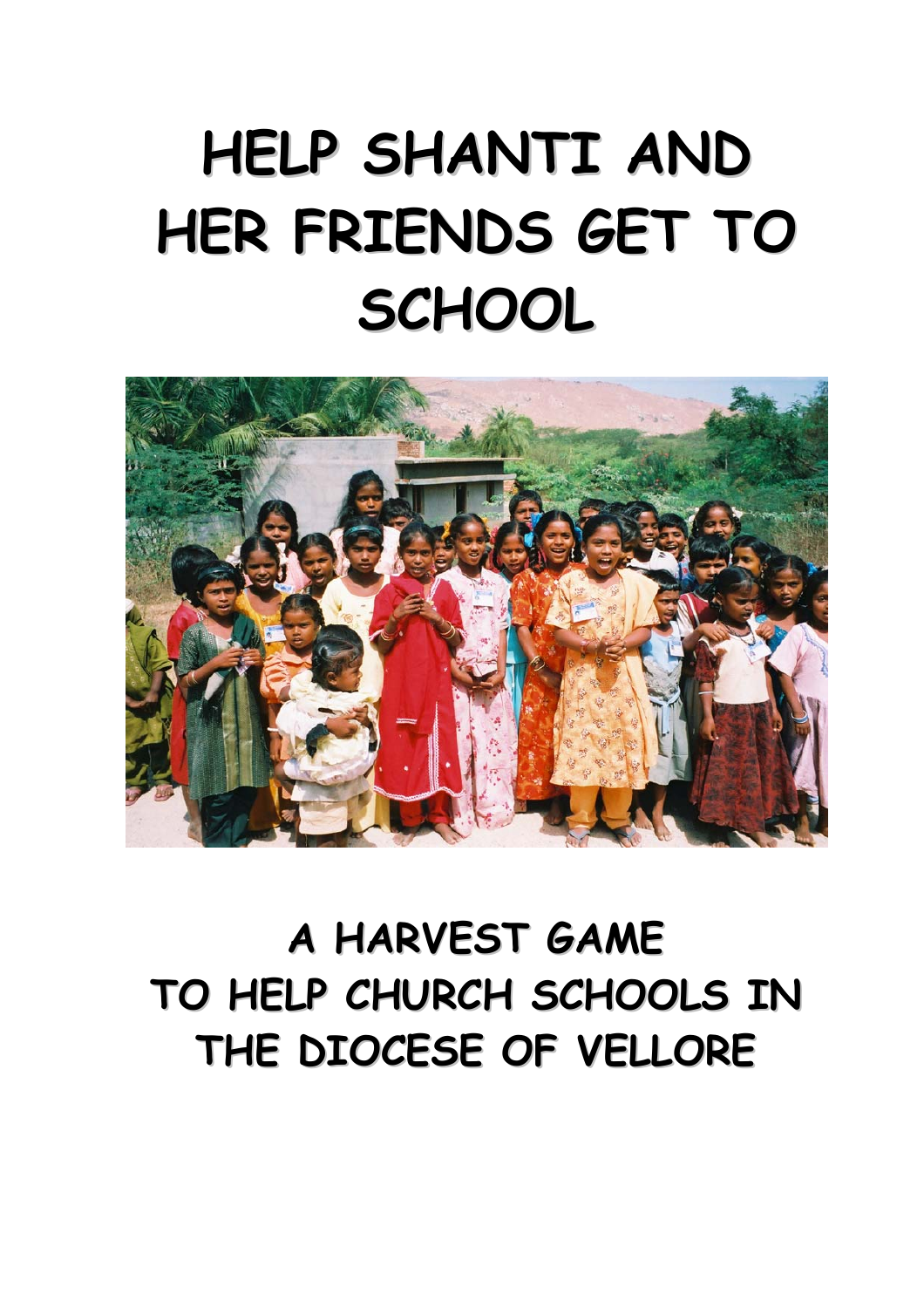# **HELP SHANTI AND HER FRIENDS GET TO SCHOOL**



## **A HARVEST GAME TO HELP CHURCH SCHOOLS IN THE DIOCESE OF VELLORE**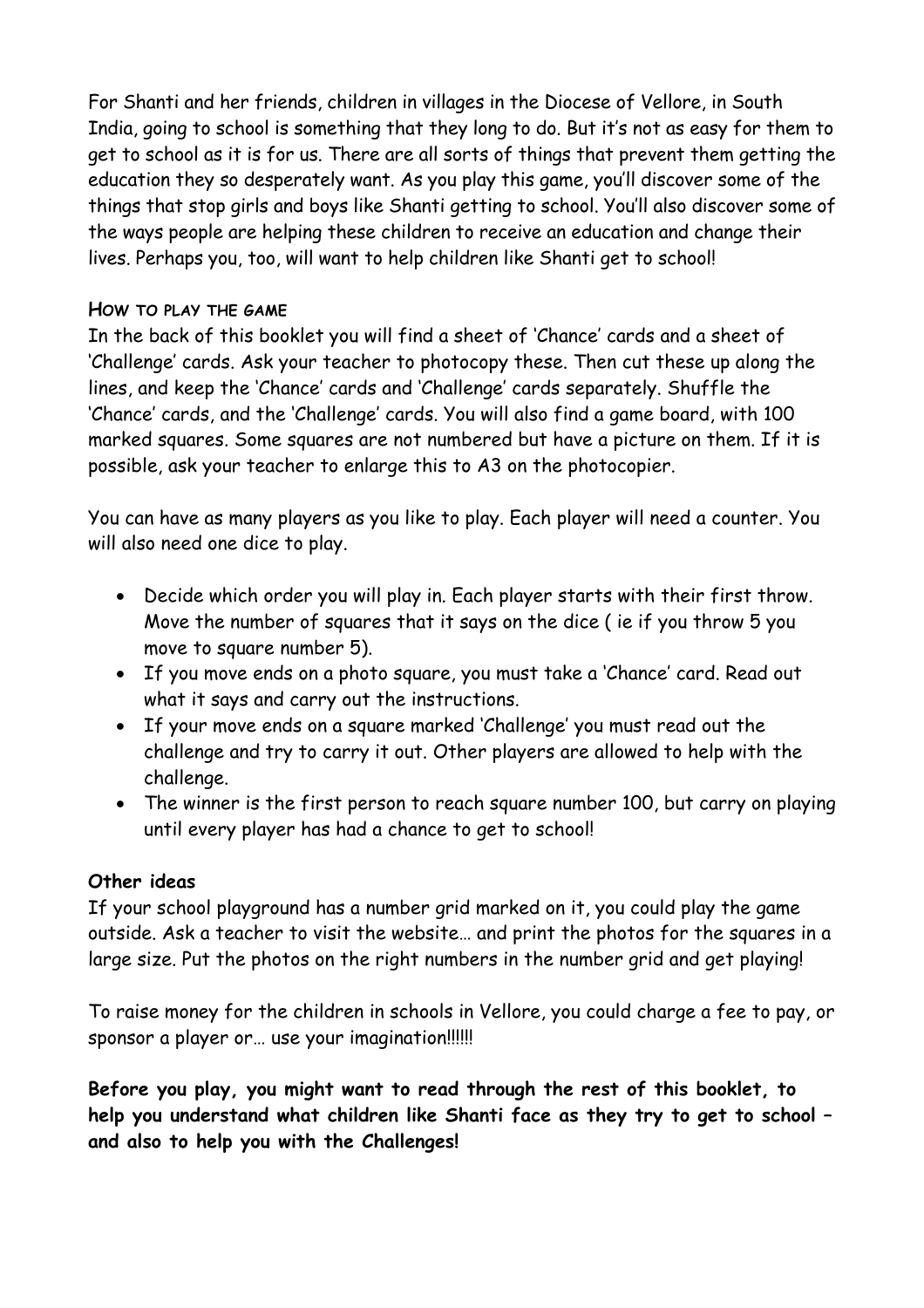For Shanti and her friends, children in villages in the Diocese of Vellore, in South India, going to school is something that they long to do. But it's not as easy for them to get to school as it is for us. There are all sorts of things that prevent them getting the education they so desperately want. As you play this game, you'll discover some of the things that stop girls and boys like Shanti getting to school. You'll also discover some of the ways people are helping these children to receive an education and change their lives. Perhaps you, too, will want to help children like Shanti get to school!

### **HOW TO PLAY THE GAME**

In the back of this booklet you will find a sheet of 'Chance' cards and a sheet of 'Challenge' cards. Ask your teacher to photocopy these. Then cut these up along the lines, and keep the 'Chance' cards and 'Challenge' cards separately. Shuffle the 'Chance' cards, and the 'Challenge' cards. You will also find a game board, with 100 marked squares. Some squares are not numbered but have a picture on them. If it is possible, ask your teacher to enlarge this to A3 on the photocopier.

You can have as many players as you like to play. Each player will need a counter. You will also need one dice to play.

- Decide which order you will play in. Each player starts with their first throw. Move the number of squares that it says on the dice ( ie if you throw 5 you move to square number 5).
- If you move ends on a photo square, you must take a 'Chance' card. Read out what it says and carry out the instructions.
- If your move ends on a square marked 'Challenge' you must read out the challenge and try to carry it out. Other players are allowed to help with the challenge.
- The winner is the first person to reach square number 100, but carry on playing until every player has had a chance to get to school!

### **Other ideas**

If your school playground has a number grid marked on it, you could play the game outside. Ask a teacher to visit the website… and print the photos for the squares in a large size. Put the photos on the right numbers in the number grid and get playing!

To raise money for the children in schools in Vellore, you could charge a fee to pay, or sponsor a player or… use your imagination!!!!!!

**Before you play, you might want to read through the rest of this booklet, to help you understand what children like Shanti face as they try to get to school – and also to help you with the Challenges!**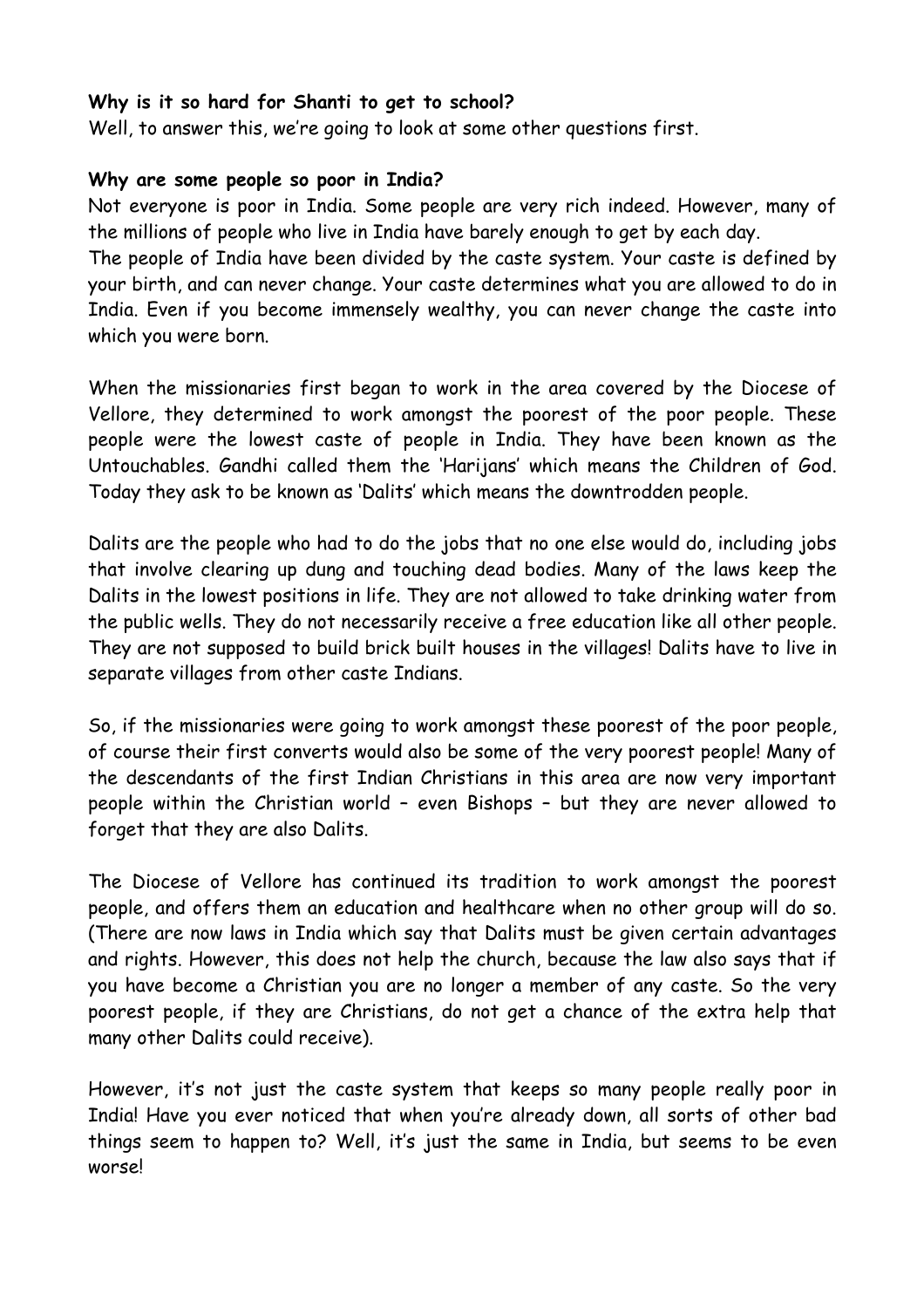### **Why is it so hard for Shanti to get to school?**

Well, to answer this, we're going to look at some other questions first.

### **Why are some people so poor in India?**

Not everyone is poor in India. Some people are very rich indeed. However, many of the millions of people who live in India have barely enough to get by each day.

The people of India have been divided by the caste system. Your caste is defined by your birth, and can never change. Your caste determines what you are allowed to do in India. Even if you become immensely wealthy, you can never change the caste into which you were born.

When the missionaries first began to work in the area covered by the Diocese of Vellore, they determined to work amongst the poorest of the poor people. These people were the lowest caste of people in India. They have been known as the Untouchables. Gandhi called them the 'Harijans' which means the Children of God. Today they ask to be known as 'Dalits' which means the downtrodden people.

Dalits are the people who had to do the jobs that no one else would do, including jobs that involve clearing up dung and touching dead bodies. Many of the laws keep the Dalits in the lowest positions in life. They are not allowed to take drinking water from the public wells. They do not necessarily receive a free education like all other people. They are not supposed to build brick built houses in the villages! Dalits have to live in separate villages from other caste Indians.

So, if the missionaries were going to work amongst these poorest of the poor people, of course their first converts would also be some of the very poorest people! Many of the descendants of the first Indian Christians in this area are now very important people within the Christian world – even Bishops – but they are never allowed to forget that they are also Dalits.

The Diocese of Vellore has continued its tradition to work amongst the poorest people, and offers them an education and healthcare when no other group will do so. (There are now laws in India which say that Dalits must be given certain advantages and rights. However, this does not help the church, because the law also says that if you have become a Christian you are no longer a member of any caste. So the very poorest people, if they are Christians, do not get a chance of the extra help that many other Dalits could receive).

However, it's not just the caste system that keeps so many people really poor in India! Have you ever noticed that when you're already down, all sorts of other bad things seem to happen to? Well, it's just the same in India, but seems to be even worse!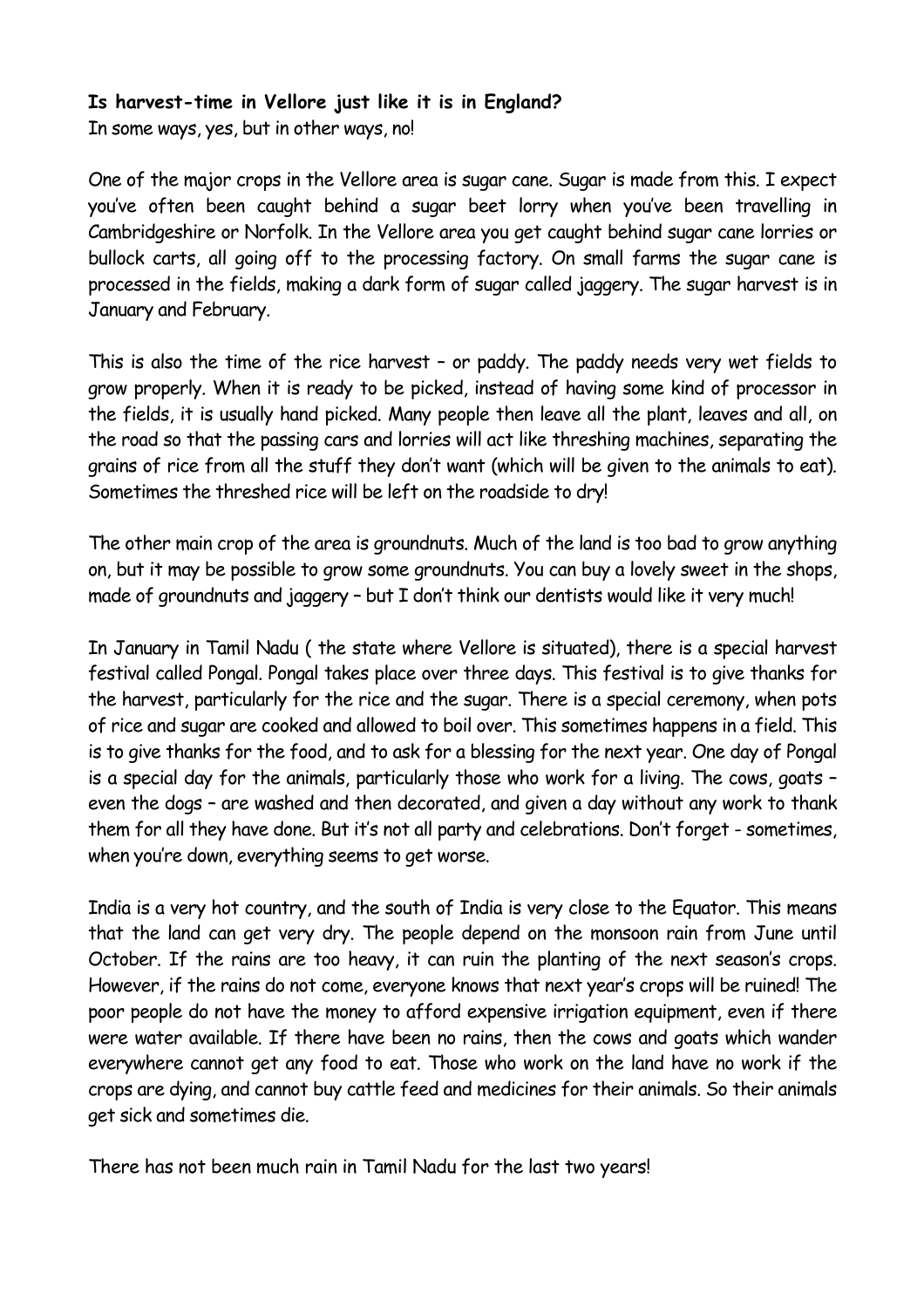### **Is harvest-time in Vellore just like it is in England?**

In some ways, yes, but in other ways, no!

One of the major crops in the Vellore area is sugar cane. Sugar is made from this. I expect you've often been caught behind a sugar beet lorry when you've been travelling in Cambridgeshire or Norfolk. In the Vellore area you get caught behind sugar cane lorries or bullock carts, all going off to the processing factory. On small farms the sugar cane is processed in the fields, making a dark form of sugar called jaggery. The sugar harvest is in January and February.

This is also the time of the rice harvest – or paddy. The paddy needs very wet fields to grow properly. When it is ready to be picked, instead of having some kind of processor in the fields, it is usually hand picked. Many people then leave all the plant, leaves and all, on the road so that the passing cars and lorries will act like threshing machines, separating the grains of rice from all the stuff they don't want (which will be given to the animals to eat). Sometimes the threshed rice will be left on the roadside to dry!

The other main crop of the area is groundnuts. Much of the land is too bad to grow anything on, but it may be possible to grow some groundnuts. You can buy a lovely sweet in the shops, made of groundnuts and jaggery – but I don't think our dentists would like it very much!

In January in Tamil Nadu ( the state where Vellore is situated), there is a special harvest festival called Pongal. Pongal takes place over three days. This festival is to give thanks for the harvest, particularly for the rice and the sugar. There is a special ceremony, when pots of rice and sugar are cooked and allowed to boil over. This sometimes happens in a field. This is to give thanks for the food, and to ask for a blessing for the next year. One day of Pongal is a special day for the animals, particularly those who work for a living. The cows, goats – even the dogs – are washed and then decorated, and given a day without any work to thank them for all they have done. But it's not all party and celebrations. Don't forget - sometimes, when you're down, everything seems to get worse.

India is a very hot country, and the south of India is very close to the Equator. This means that the land can get very dry. The people depend on the monsoon rain from June until October. If the rains are too heavy, it can ruin the planting of the next season's crops. However, if the rains do not come, everyone knows that next year's crops will be ruined! The poor people do not have the money to afford expensive irrigation equipment, even if there were water available. If there have been no rains, then the cows and goats which wander everywhere cannot get any food to eat. Those who work on the land have no work if the crops are dying, and cannot buy cattle feed and medicines for their animals. So their animals get sick and sometimes die.

There has not been much rain in Tamil Nadu for the last two years!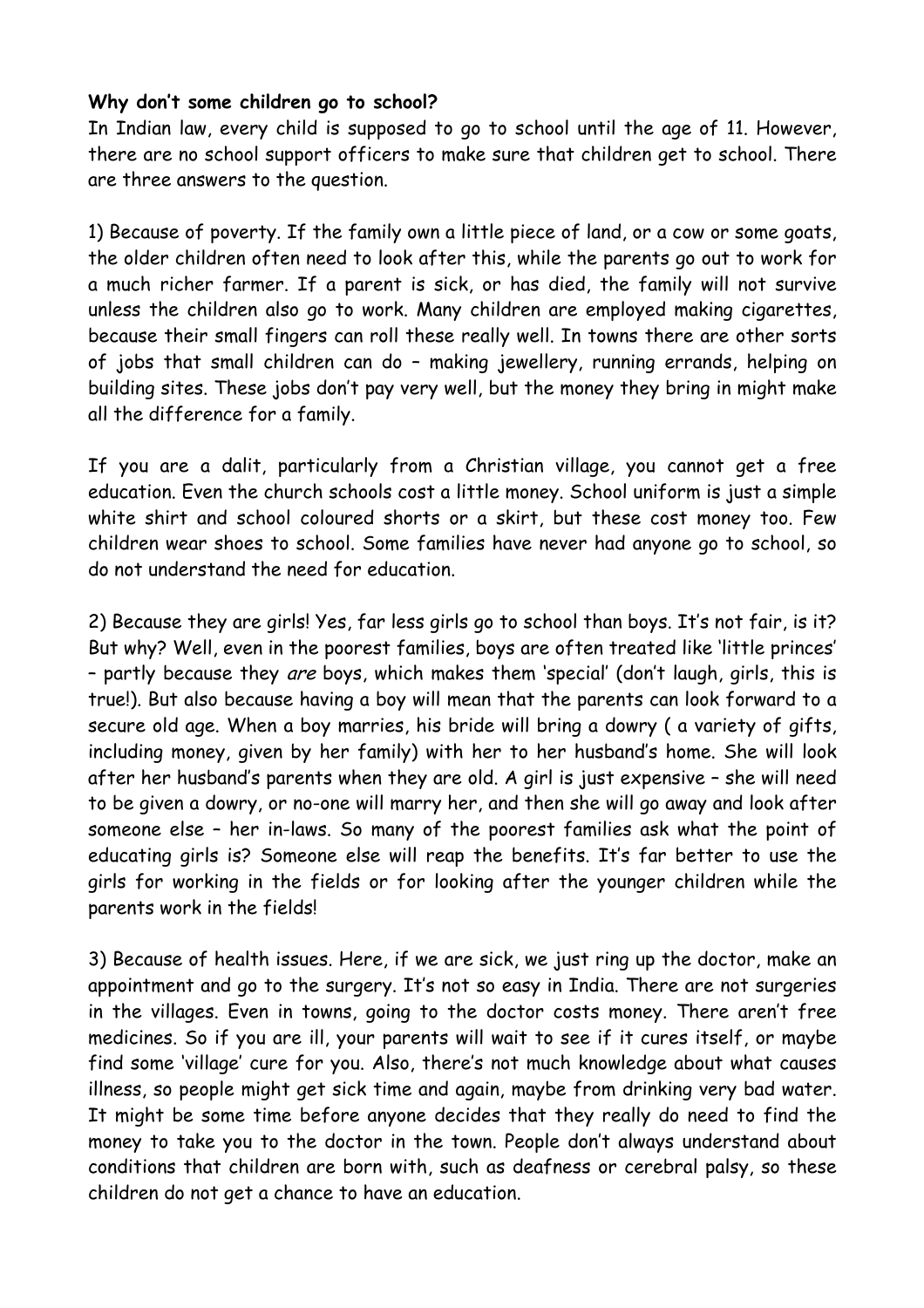### **Why don't some children go to school?**

In Indian law, every child is supposed to go to school until the age of 11. However, there are no school support officers to make sure that children get to school. There are three answers to the question.

1) Because of poverty. If the family own a little piece of land, or a cow or some goats, the older children often need to look after this, while the parents go out to work for a much richer farmer. If a parent is sick, or has died, the family will not survive unless the children also go to work. Many children are employed making cigarettes, because their small fingers can roll these really well. In towns there are other sorts of jobs that small children can do – making jewellery, running errands, helping on building sites. These jobs don't pay very well, but the money they bring in might make all the difference for a family.

If you are a dalit, particularly from a Christian village, you cannot get a free education. Even the church schools cost a little money. School uniform is just a simple white shirt and school coloured shorts or a skirt, but these cost money too. Few children wear shoes to school. Some families have never had anyone go to school, so do not understand the need for education.

2) Because they are girls! Yes, far less girls go to school than boys. It's not fair, is it? But why? Well, even in the poorest families, boys are often treated like 'little princes' – partly because they are boys, which makes them 'special' (don't laugh, girls, this is true!). But also because having a boy will mean that the parents can look forward to a secure old age. When a boy marries, his bride will bring a dowry ( a variety of gifts, including money, given by her family) with her to her husband's home. She will look after her husband's parents when they are old. A girl is just expensive – she will need to be given a dowry, or no-one will marry her, and then she will go away and look after someone else – her in-laws. So many of the poorest families ask what the point of educating girls is? Someone else will reap the benefits. It's far better to use the girls for working in the fields or for looking after the younger children while the parents work in the fields!

3) Because of health issues. Here, if we are sick, we just ring up the doctor, make an appointment and go to the surgery. It's not so easy in India. There are not surgeries in the villages. Even in towns, going to the doctor costs money. There aren't free medicines. So if you are ill, your parents will wait to see if it cures itself, or maybe find some 'village' cure for you. Also, there's not much knowledge about what causes illness, so people might get sick time and again, maybe from drinking very bad water. It might be some time before anyone decides that they really do need to find the money to take you to the doctor in the town. People don't always understand about conditions that children are born with, such as deafness or cerebral palsy, so these children do not get a chance to have an education.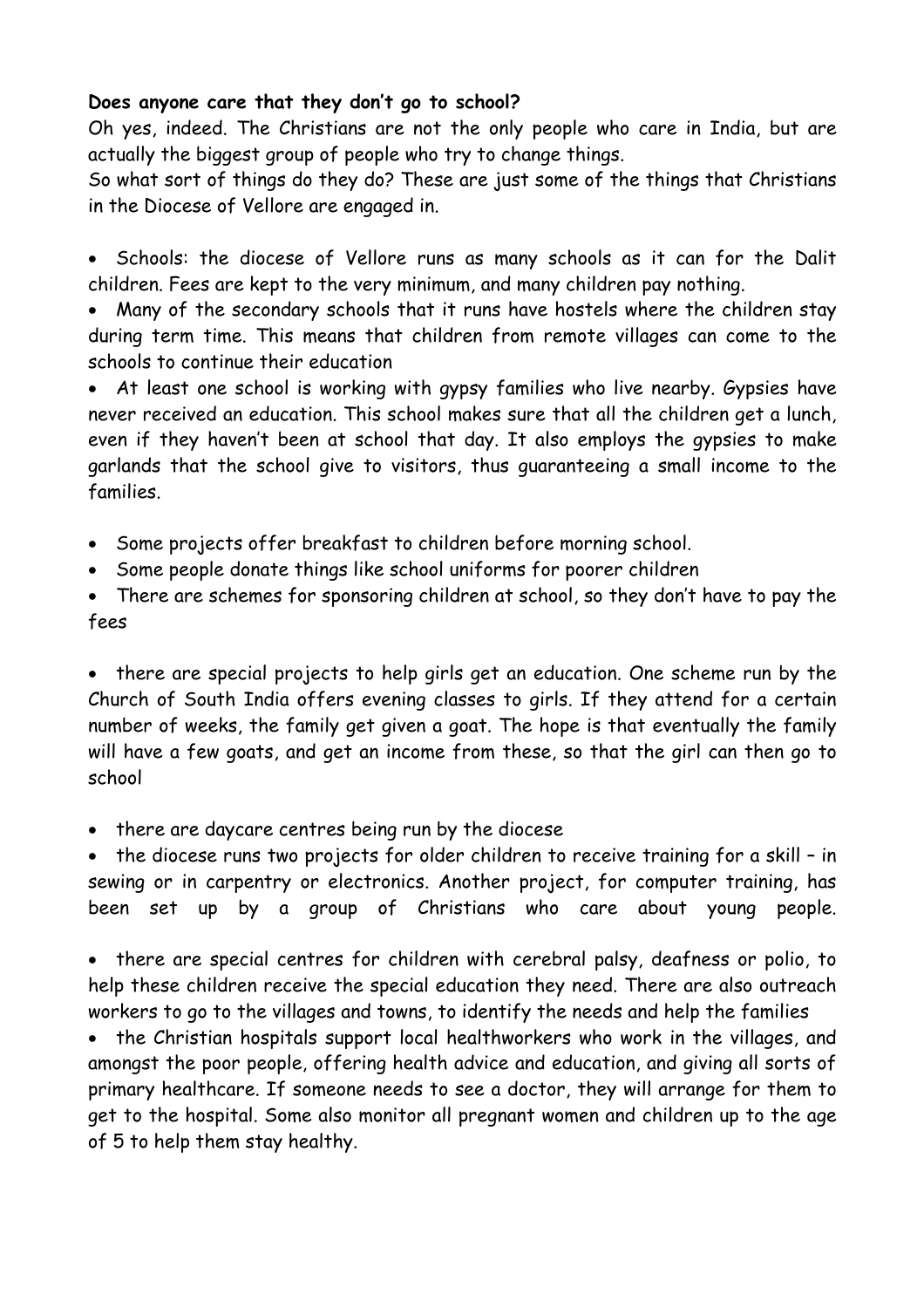### **Does anyone care that they don't go to school?**

Oh yes, indeed. The Christians are not the only people who care in India, but are actually the biggest group of people who try to change things.

So what sort of things do they do? These are just some of the things that Christians in the Diocese of Vellore are engaged in.

• Schools: the diocese of Vellore runs as many schools as it can for the Dalit children. Fees are kept to the very minimum, and many children pay nothing.

Many of the secondary schools that it runs have hostels where the children stay during term time. This means that children from remote villages can come to the schools to continue their education

• At least one school is working with gypsy families who live nearby. Gypsies have never received an education. This school makes sure that all the children get a lunch, even if they haven't been at school that day. It also employs the gypsies to make garlands that the school give to visitors, thus guaranteeing a small income to the families.

- Some projects offer breakfast to children before morning school.
- Some people donate things like school uniforms for poorer children
- There are schemes for sponsoring children at school, so they don't have to pay the fees

• there are special projects to help girls get an education. One scheme run by the Church of South India offers evening classes to girls. If they attend for a certain number of weeks, the family get given a goat. The hope is that eventually the family will have a few goats, and get an income from these, so that the girl can then go to school

• there are daycare centres being run by the diocese

• the diocese runs two projects for older children to receive training for a skill – in sewing or in carpentry or electronics. Another project, for computer training, has been set up by a group of Christians who care about young people.

• there are special centres for children with cerebral palsy, deafness or polio, to help these children receive the special education they need. There are also outreach workers to go to the villages and towns, to identify the needs and help the families

• the Christian hospitals support local healthworkers who work in the villages, and amongst the poor people, offering health advice and education, and giving all sorts of primary healthcare. If someone needs to see a doctor, they will arrange for them to get to the hospital. Some also monitor all pregnant women and children up to the age of 5 to help them stay healthy.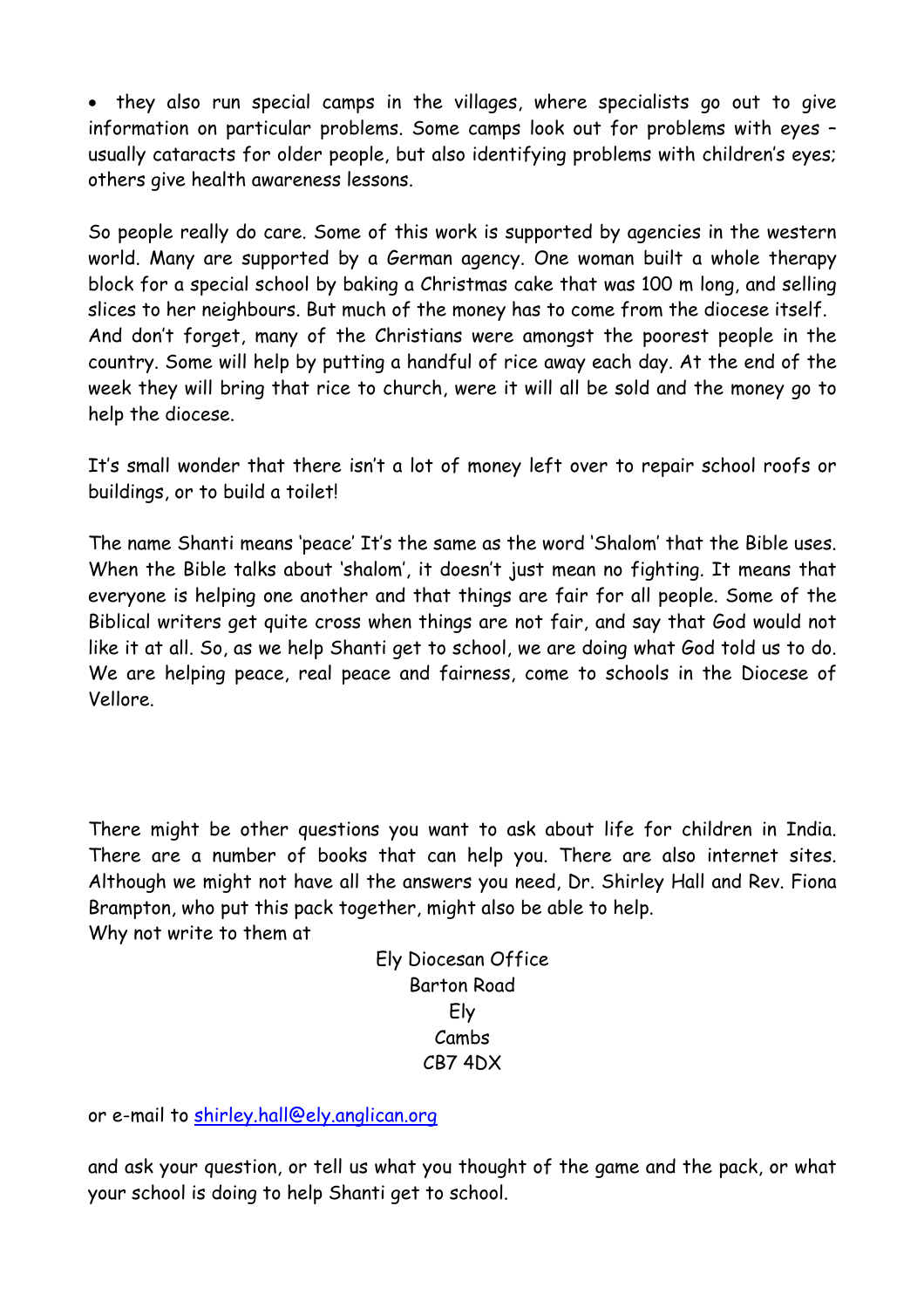• they also run special camps in the villages, where specialists go out to give information on particular problems. Some camps look out for problems with eyes – usually cataracts for older people, but also identifying problems with children's eyes; others give health awareness lessons.

So people really do care. Some of this work is supported by agencies in the western world. Many are supported by a German agency. One woman built a whole therapy block for a special school by baking a Christmas cake that was 100 m long, and selling slices to her neighbours. But much of the money has to come from the diocese itself. And don't forget, many of the Christians were amongst the poorest people in the country. Some will help by putting a handful of rice away each day. At the end of the week they will bring that rice to church, were it will all be sold and the money go to help the diocese.

It's small wonder that there isn't a lot of money left over to repair school roofs or buildings, or to build a toilet!

The name Shanti means 'peace' It's the same as the word 'Shalom' that the Bible uses. When the Bible talks about 'shalom', it doesn't just mean no fighting. It means that everyone is helping one another and that things are fair for all people. Some of the Biblical writers get quite cross when things are not fair, and say that God would not like it at all. So, as we help Shanti get to school, we are doing what God told us to do. We are helping peace, real peace and fairness, come to schools in the Diocese of Vellore.

There might be other questions you want to ask about life for children in India. There are a number of books that can help you. There are also internet sites. Although we might not have all the answers you need, Dr. Shirley Hall and Rev. Fiona Brampton, who put this pack together, might also be able to help. Why not write to them at

> Ely Diocesan Office Barton Road Ely Cambs CB7 4DX

or e-mail to [shirley.hall@ely.anglican.org](mailto:shirley.hall@ely.anglican.org)

and ask your question, or tell us what you thought of the game and the pack, or what your school is doing to help Shanti get to school.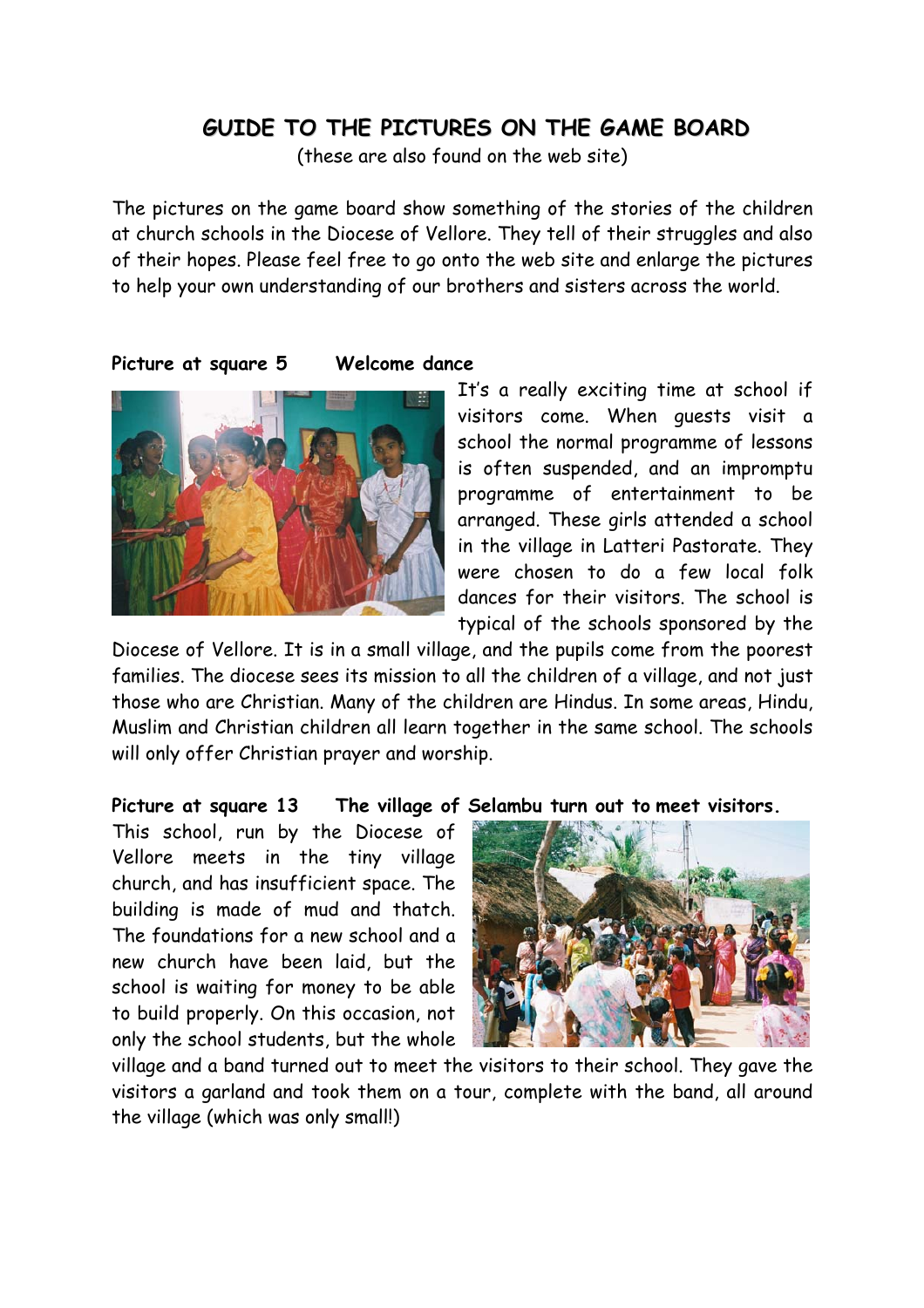### **GUIDE TO THE PICTURES ON THE GAME BOARD**

(these are also found on the web site)

The pictures on the game board show something of the stories of the children at church schools in the Diocese of Vellore. They tell of their struggles and also of their hopes. Please feel free to go onto the web site and enlarge the pictures to help your own understanding of our brothers and sisters across the world.

**Picture at square 5 Welcome dance** 



It's a really exciting time at school if visitors come. When guests visit a school the normal programme of lessons is often suspended, and an impromptu programme of entertainment to be arranged. These girls attended a school in the village in Latteri Pastorate. They were chosen to do a few local folk dances for their visitors. The school is typical of the schools sponsored by the

Diocese of Vellore. It is in a small village, and the pupils come from the poorest families. The diocese sees its mission to all the children of a village, and not just those who are Christian. Many of the children are Hindus. In some areas, Hindu, Muslim and Christian children all learn together in the same school. The schools will only offer Christian prayer and worship.

#### **Picture at square 13 The village of Selambu turn out to meet visitors.**

This school, run by the Diocese of Vellore meets in the tiny village church, and has insufficient space. The building is made of mud and thatch. The foundations for a new school and a new church have been laid, but the school is waiting for money to be able to build properly. On this occasion, not only the school students, but the whole



village and a band turned out to meet the visitors to their school. They gave the visitors a garland and took them on a tour, complete with the band, all around the village (which was only small!)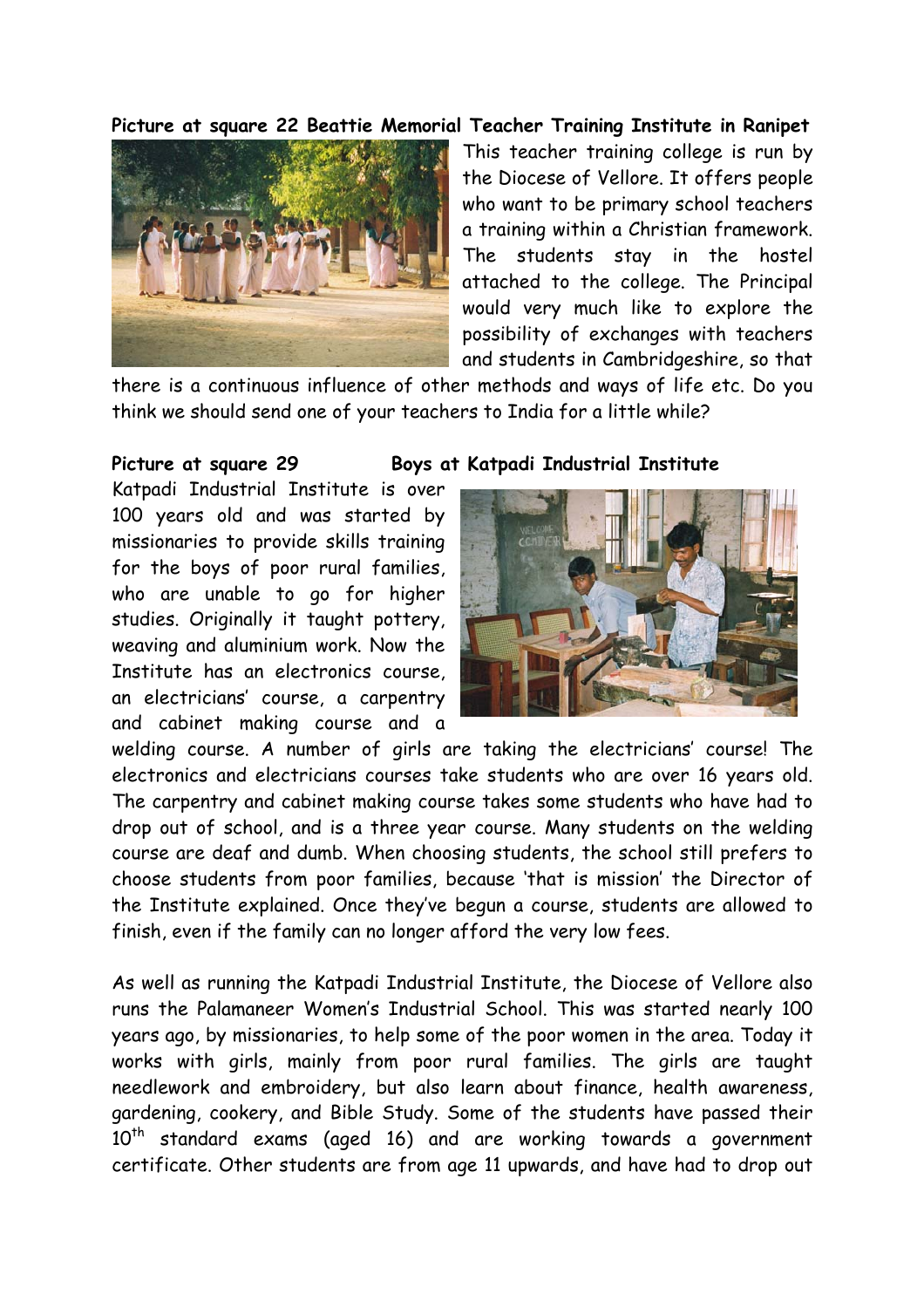**Picture at square 22 Beattie Memorial Teacher Training Institute in Ranipet** 



This teacher training college is run by the Diocese of Vellore. It offers people who want to be primary school teachers a training within a Christian framework. The students stay in the hostel attached to the college. The Principal would very much like to explore the possibility of exchanges with teachers and students in Cambridgeshire, so that

there is a continuous influence of other methods and ways of life etc. Do you think we should send one of your teachers to India for a little while?

Katpadi Industrial Institute is over 100 years old and was started by missionaries to provide skills training for the boys of poor rural families, who are unable to go for higher studies. Originally it taught pottery, weaving and aluminium work. Now the Institute has an electronics course, an electricians' course, a carpentry and cabinet making course and a

#### **Picture at square 29 Boys at Katpadi Industrial Institute**



welding course. A number of girls are taking the electricians' course! The electronics and electricians courses take students who are over 16 years old. The carpentry and cabinet making course takes some students who have had to drop out of school, and is a three year course. Many students on the welding course are deaf and dumb. When choosing students, the school still prefers to choose students from poor families, because 'that is mission' the Director of the Institute explained. Once they've begun a course, students are allowed to finish, even if the family can no longer afford the very low fees.

As well as running the Katpadi Industrial Institute, the Diocese of Vellore also runs the Palamaneer Women's Industrial School. This was started nearly 100 years ago, by missionaries, to help some of the poor women in the area. Today it works with girls, mainly from poor rural families. The girls are taught needlework and embroidery, but also learn about finance, health awareness, gardening, cookery, and Bible Study. Some of the students have passed their  $10<sup>th</sup>$  standard exams (aged 16) and are working towards a government certificate. Other students are from age 11 upwards, and have had to drop out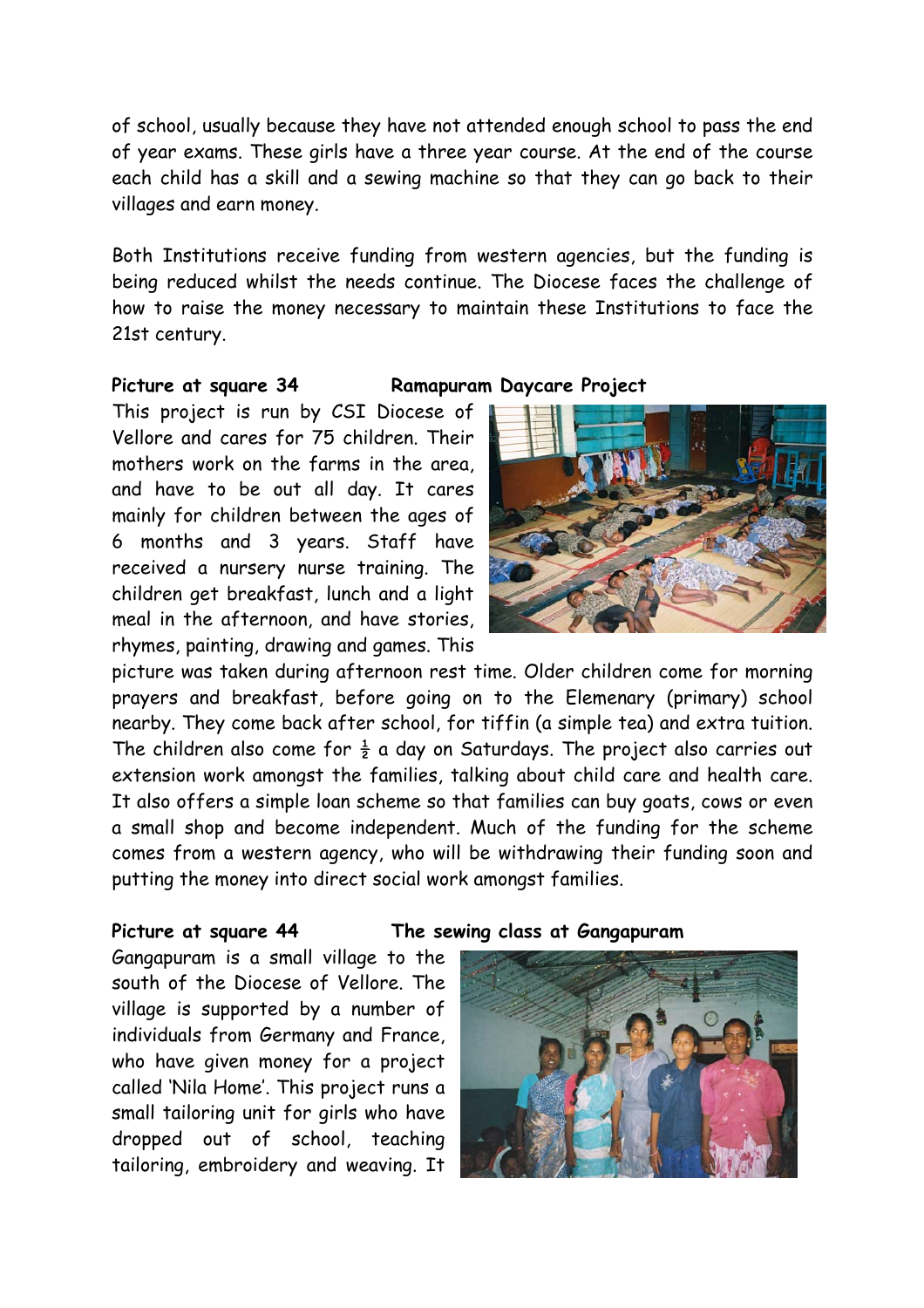of school, usually because they have not attended enough school to pass the end of year exams. These girls have a three year course. At the end of the course each child has a skill and a sewing machine so that they can go back to their villages and earn money.

Both Institutions receive funding from western agencies, but the funding is being reduced whilst the needs continue. The Diocese faces the challenge of how to raise the money necessary to maintain these Institutions to face the 21st century.

#### **Picture at square 34 Ramapuram Daycare Project**

This project is run by CSI Diocese of Vellore and cares for 75 children. Their mothers work on the farms in the area, and have to be out all day. It cares mainly for children between the ages of 6 months and 3 years. Staff have received a nursery nurse training. The children get breakfast, lunch and a light meal in the afternoon, and have stories, rhymes, painting, drawing and games. This



picture was taken during afternoon rest time. Older children come for morning prayers and breakfast, before going on to the Elemenary (primary) school nearby. They come back after school, for tiffin (a simple tea) and extra tuition. The children also come for  $\frac{1}{2}$  a day on Saturdays. The project also carries out extension work amongst the families, talking about child care and health care. It also offers a simple loan scheme so that families can buy goats, cows or even a small shop and become independent. Much of the funding for the scheme comes from a western agency, who will be withdrawing their funding soon and putting the money into direct social work amongst families.

Gangapuram is a small village to the south of the Diocese of Vellore. The village is supported by a number of individuals from Germany and France, who have given money for a project called 'Nila Home'. This project runs a small tailoring unit for girls who have dropped out of school, teaching tailoring, embroidery and weaving. It

#### **Picture at square 44 The sewing class at Gangapuram**

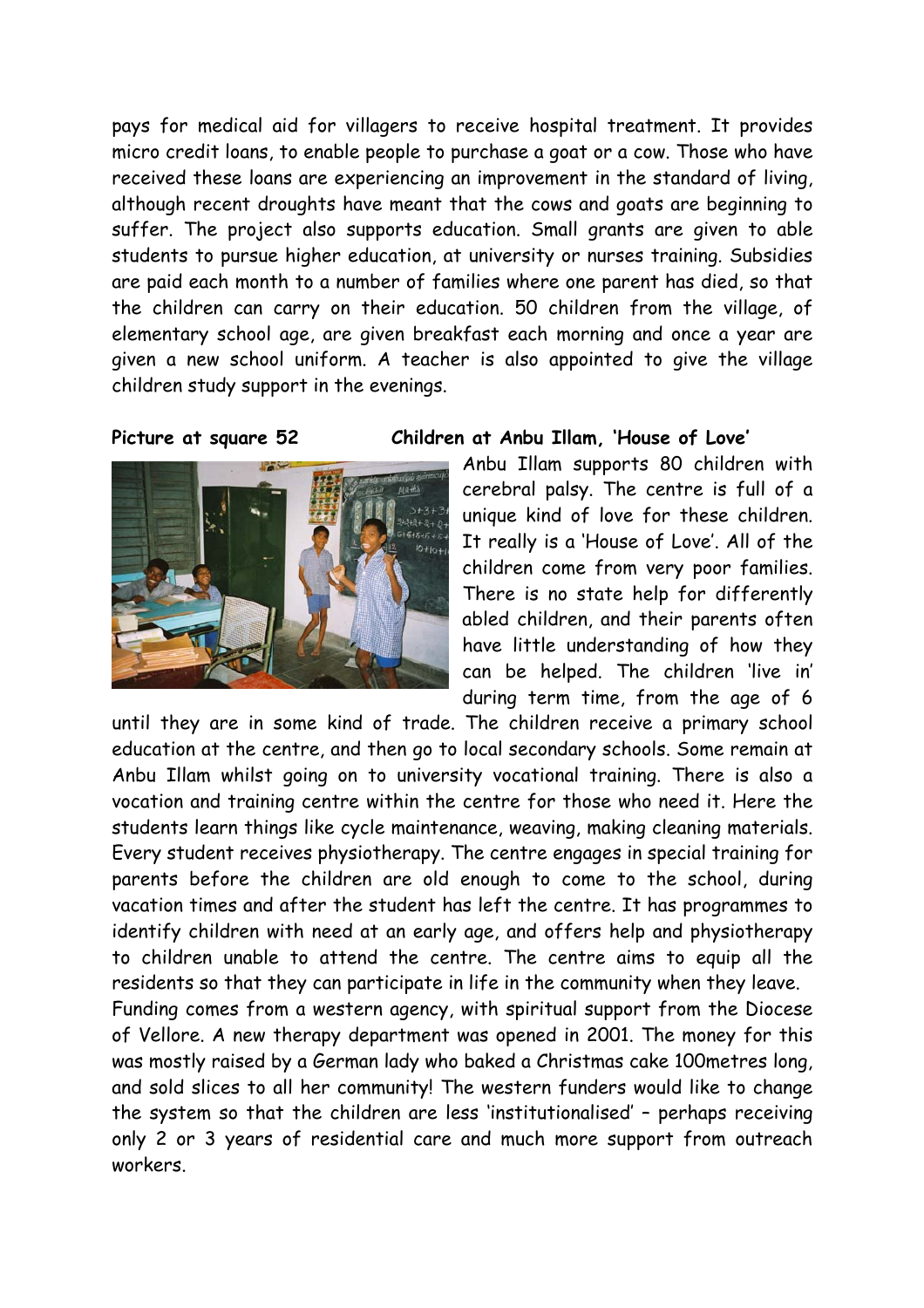pays for medical aid for villagers to receive hospital treatment. It provides micro credit loans, to enable people to purchase a goat or a cow. Those who have received these loans are experiencing an improvement in the standard of living, although recent droughts have meant that the cows and goats are beginning to suffer. The project also supports education. Small grants are given to able students to pursue higher education, at university or nurses training. Subsidies are paid each month to a number of families where one parent has died, so that the children can carry on their education. 50 children from the village, of elementary school age, are given breakfast each morning and once a year are given a new school uniform. A teacher is also appointed to give the village children study support in the evenings.



#### **Picture at square 52 Children at Anbu Illam, 'House of Love'**

Anbu Illam supports 80 children with cerebral palsy. The centre is full of a unique kind of love for these children. It really is a 'House of Love'. All of the children come from very poor families. There is no state help for differently abled children, and their parents often have little understanding of how they can be helped. The children 'live in' during term time, from the age of 6

until they are in some kind of trade. The children receive a primary school education at the centre, and then go to local secondary schools. Some remain at Anbu Illam whilst going on to university vocational training. There is also a vocation and training centre within the centre for those who need it. Here the students learn things like cycle maintenance, weaving, making cleaning materials. Every student receives physiotherapy. The centre engages in special training for parents before the children are old enough to come to the school, during vacation times and after the student has left the centre. It has programmes to identify children with need at an early age, and offers help and physiotherapy to children unable to attend the centre. The centre aims to equip all the residents so that they can participate in life in the community when they leave. Funding comes from a western agency, with spiritual support from the Diocese of Vellore. A new therapy department was opened in 2001. The money for this was mostly raised by a German lady who baked a Christmas cake 100metres long, and sold slices to all her community! The western funders would like to change the system so that the children are less 'institutionalised' – perhaps receiving only 2 or 3 years of residential care and much more support from outreach workers.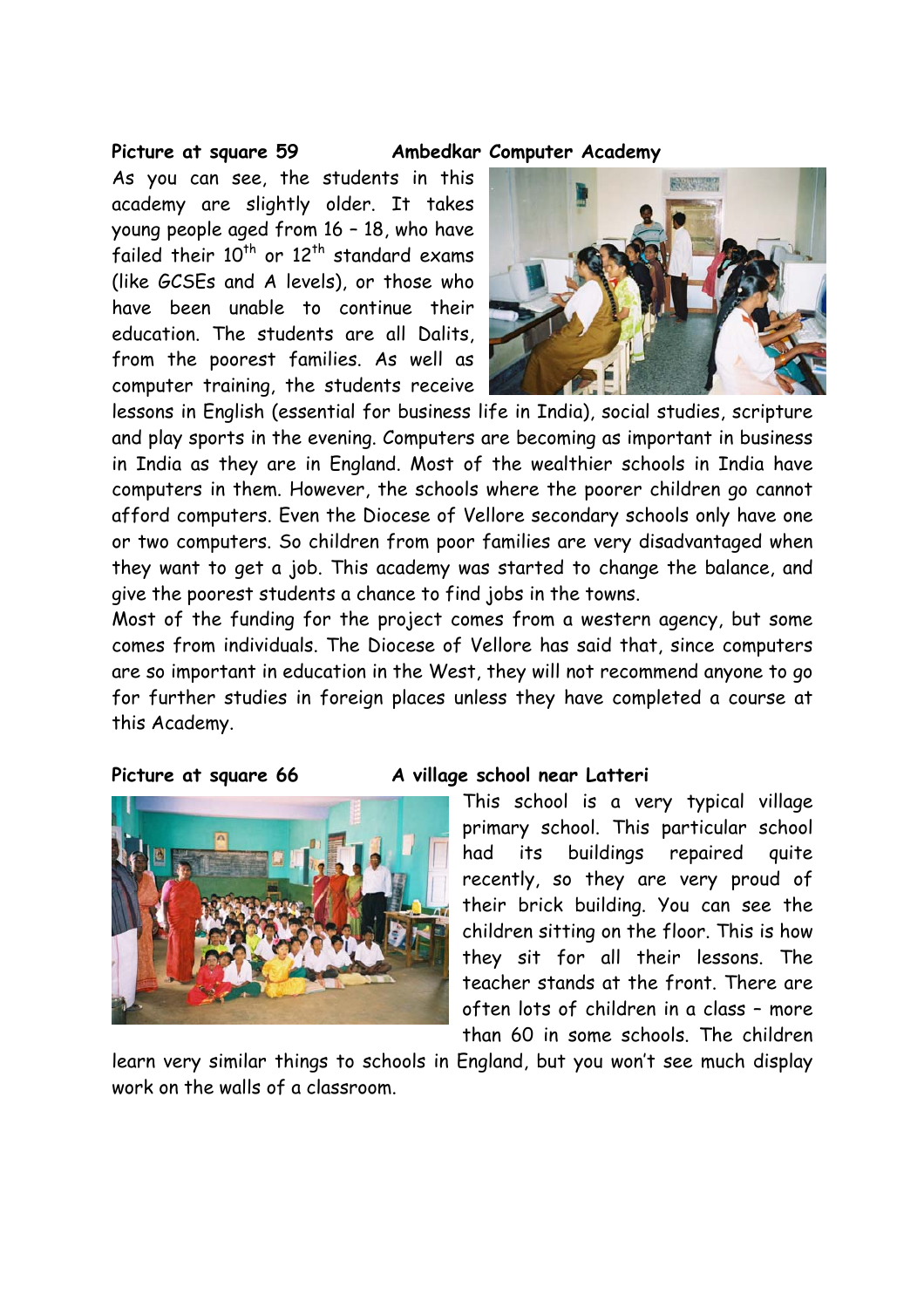As you can see, the students in this academy are slightly older. It takes young people aged from 16 – 18, who have failed their  $10^{th}$  or  $12^{th}$  standard exams (like GCSEs and A levels), or those who have been unable to continue their education. The students are all Dalits, from the poorest families. As well as computer training, the students receive

#### **Picture at square 59 Ambedkar Computer Academy**



lessons in English (essential for business life in India), social studies, scripture and play sports in the evening. Computers are becoming as important in business in India as they are in England. Most of the wealthier schools in India have computers in them. However, the schools where the poorer children go cannot afford computers. Even the Diocese of Vellore secondary schools only have one or two computers. So children from poor families are very disadvantaged when they want to get a job. This academy was started to change the balance, and give the poorest students a chance to find jobs in the towns.

Most of the funding for the project comes from a western agency, but some comes from individuals. The Diocese of Vellore has said that, since computers are so important in education in the West, they will not recommend anyone to go for further studies in foreign places unless they have completed a course at this Academy.



#### Picture at square 66 A village school near Latteri

This school is a very typical village primary school. This particular school had its buildings repaired quite recently, so they are very proud of their brick building. You can see the children sitting on the floor. This is how they sit for all their lessons. The teacher stands at the front. There are often lots of children in a class – more than 60 in some schools. The children

learn very similar things to schools in England, but you won't see much display work on the walls of a classroom.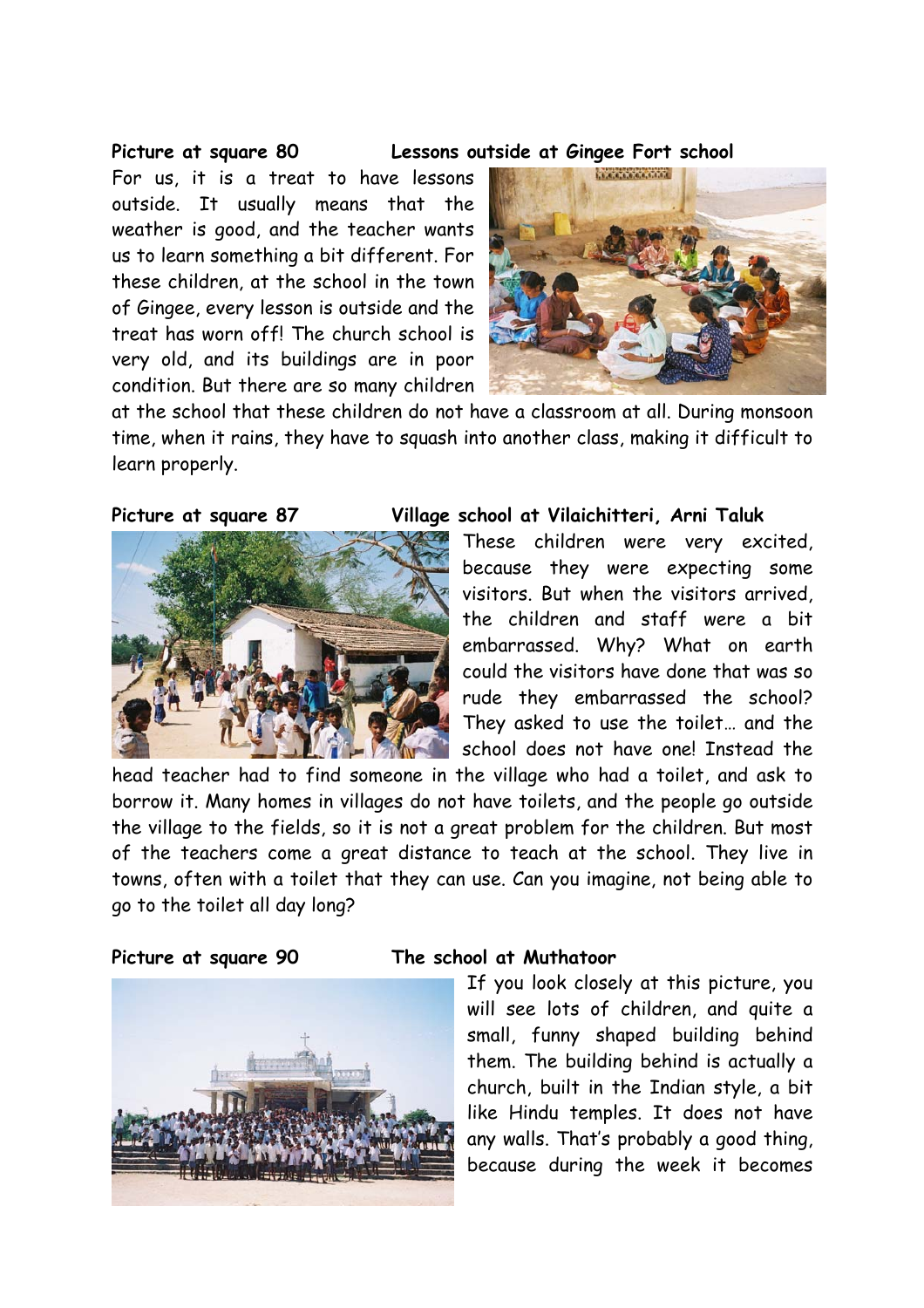**Picture at square 80 Lessons outside at Gingee Fort school** 

For us, it is a treat to have lessons outside. It usually means that the weather is good, and the teacher wants us to learn something a bit different. For these children, at the school in the town of Gingee, every lesson is outside and the treat has worn off! The church school is very old, and its buildings are in poor condition. But there are so many children



at the school that these children do not have a classroom at all. During monsoon time, when it rains, they have to squash into another class, making it difficult to learn properly.



#### **Picture at square 87 Village school at Vilaichitteri, Arni Taluk**

These children were very excited, because they were expecting some visitors. But when the visitors arrived, the children and staff were a bit embarrassed. Why? What on earth could the visitors have done that was so rude they embarrassed the school? They asked to use the toilet… and the school does not have one! Instead the

head teacher had to find someone in the village who had a toilet, and ask to borrow it. Many homes in villages do not have toilets, and the people go outside the village to the fields, so it is not a great problem for the children. But most of the teachers come a great distance to teach at the school. They live in towns, often with a toilet that they can use. Can you imagine, not being able to go to the toilet all day long?



#### **Picture at square 90 The school at Muthatoor**

If you look closely at this picture, you will see lots of children, and quite a small, funny shaped building behind them. The building behind is actually a church, built in the Indian style, a bit like Hindu temples. It does not have any walls. That's probably a good thing, because during the week it becomes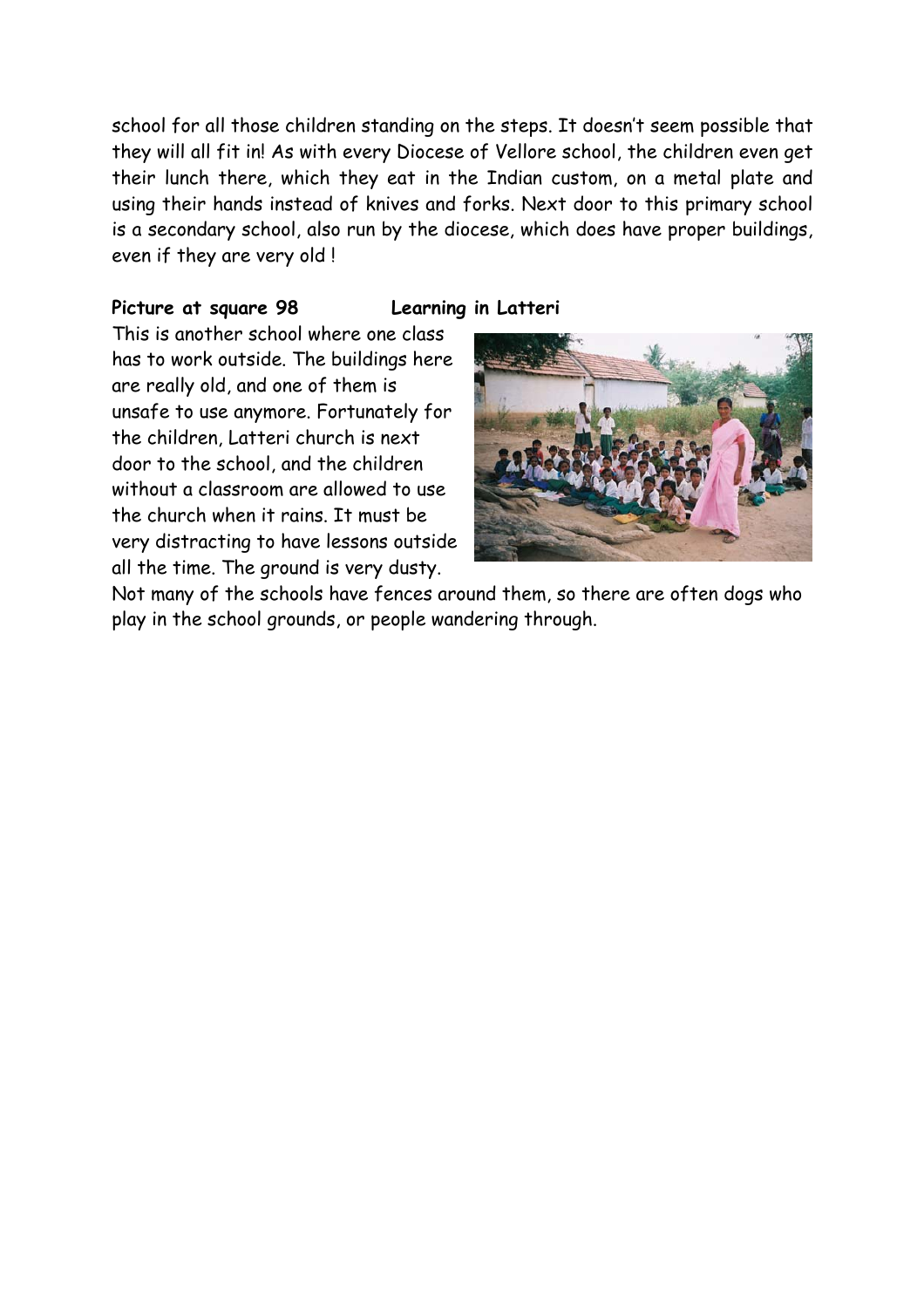school for all those children standing on the steps. It doesn't seem possible that they will all fit in! As with every Diocese of Vellore school, the children even get their lunch there, which they eat in the Indian custom, on a metal plate and using their hands instead of knives and forks. Next door to this primary school is a secondary school, also run by the diocese, which does have proper buildings, even if they are very old !

#### **Picture at square 98 Learning in Latteri**

This is another school where one class has to work outside. The buildings here are really old, and one of them is unsafe to use anymore. Fortunately for the children, Latteri church is next door to the school, and the children without a classroom are allowed to use the church when it rains. It must be very distracting to have lessons outside all the time. The ground is very dusty.



Not many of the schools have fences around them, so there are often dogs who play in the school grounds, or people wandering through.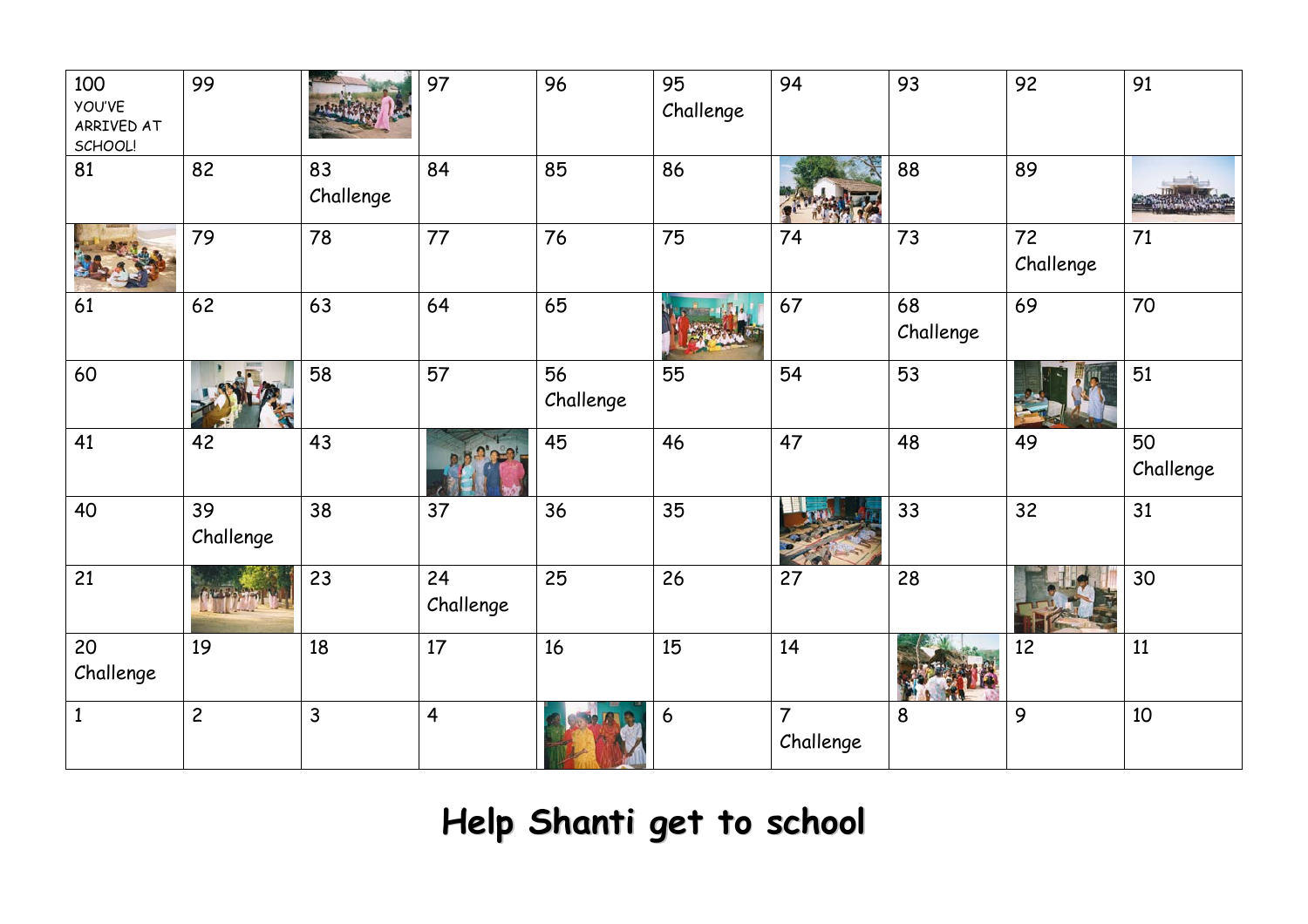| 100<br><b>YOU'VE</b><br>ARRIVED AT<br>SCHOOL! | 99              |                 | 97              | 96              | 95<br>Challenge | 94                          | 93              | 92              | 91              |
|-----------------------------------------------|-----------------|-----------------|-----------------|-----------------|-----------------|-----------------------------|-----------------|-----------------|-----------------|
| 81                                            | 82              | 83<br>Challenge | 84              | 85              | 86              |                             | 88              | 89              |                 |
|                                               | 79              | 78              | 77              | 76              | 75              | 74                          | 73              | 72<br>Challenge | 71              |
| 61                                            | 62              | 63              | 64              | 65              |                 | 67                          | 68<br>Challenge | 69              | 70              |
| 60                                            |                 | 58              | 57              | 56<br>Challenge | 55              | 54                          | 53              |                 | 51              |
| 41                                            | 42              | 43              |                 | 45              | 46              | 47                          | 48              | 49              | 50<br>Challenge |
| 40                                            | 39<br>Challenge | 38              | 37              | 36              | 35              |                             | 33              | 32              | 31              |
| 21                                            |                 | 23              | 24<br>Challenge | 25              | 26              | 27                          | 28              |                 | 30              |
| 20<br>Challenge                               | 19              | 18              | 17              | 16              | 15              | 14                          |                 | 12              | 11              |
| $\mathbf{1}$                                  | $\overline{c}$  | $\mathsf{3}$    | $\overline{4}$  |                 | 6               | $\overline{7}$<br>Challenge | 8               | 9               | 10              |

## **Help Shanti ge<sup>t</sup> to school**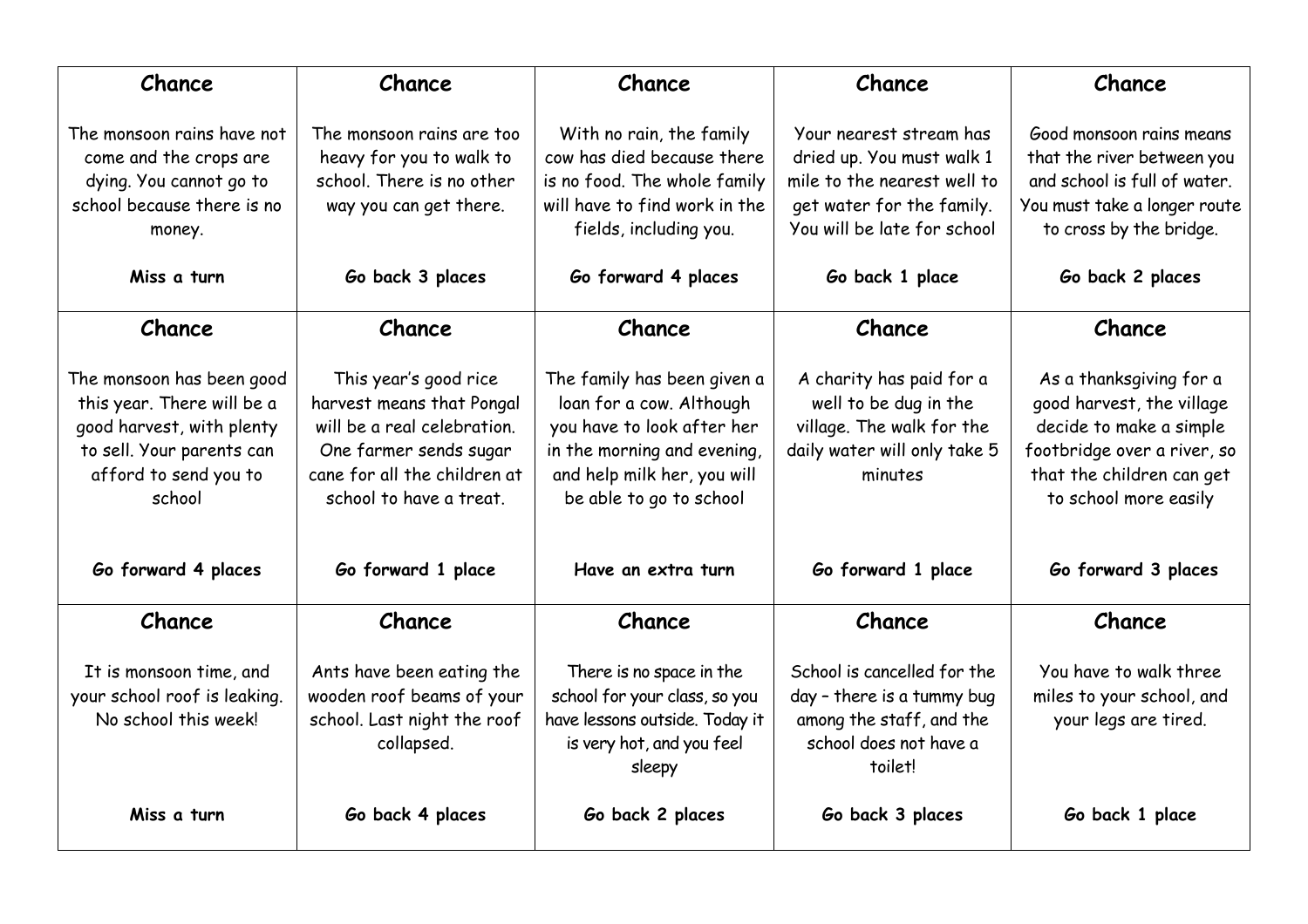| Chance<br>Chance                                                                                                                                     |                                                                                                                                                                        | Chance                                                                                                                                                                         | Chance                                                                                                                                                             | Chance                                                                                                                                                                |
|------------------------------------------------------------------------------------------------------------------------------------------------------|------------------------------------------------------------------------------------------------------------------------------------------------------------------------|--------------------------------------------------------------------------------------------------------------------------------------------------------------------------------|--------------------------------------------------------------------------------------------------------------------------------------------------------------------|-----------------------------------------------------------------------------------------------------------------------------------------------------------------------|
| The monsoon rains have not<br>come and the crops are<br>dying. You cannot go to<br>school because there is no<br>money.<br>Miss a turn               | The monsoon rains are too<br>heavy for you to walk to<br>school. There is no other<br>way you can get there.<br>Go back 3 places                                       | With no rain, the family<br>cow has died because there<br>is no food. The whole family<br>will have to find work in the<br>fields, including you.<br>Go forward 4 places       | Your nearest stream has<br>dried up. You must walk 1<br>mile to the nearest well to<br>get water for the family.<br>You will be late for school<br>Go back 1 place | Good monsoon rains means<br>that the river between you<br>and school is full of water.<br>You must take a longer route<br>to cross by the bridge.<br>Go back 2 places |
| Chance                                                                                                                                               | Chance                                                                                                                                                                 | Chance                                                                                                                                                                         | Chance                                                                                                                                                             | Chance                                                                                                                                                                |
| The monsoon has been good<br>this year. There will be a<br>good harvest, with plenty<br>to sell. Your parents can<br>afford to send you to<br>school | This year's good rice<br>harvest means that Pongal<br>will be a real celebration.<br>One farmer sends sugar<br>cane for all the children at<br>school to have a treat. | The family has been given a<br>loan for a cow. Although<br>you have to look after her<br>in the morning and evening,<br>and help milk her, you will<br>be able to go to school | A charity has paid for a<br>well to be dug in the<br>village. The walk for the<br>daily water will only take 5<br>minutes                                          | As a thanksgiving for a<br>good harvest, the village<br>decide to make a simple<br>footbridge over a river, so<br>that the children can get<br>to school more easily  |
| Go forward 4 places                                                                                                                                  | Go forward 1 place                                                                                                                                                     | Have an extra turn                                                                                                                                                             | Go forward 1 place                                                                                                                                                 | Go forward 3 places                                                                                                                                                   |
| Chance                                                                                                                                               | Chance                                                                                                                                                                 | Chance                                                                                                                                                                         | Chance                                                                                                                                                             | Chance                                                                                                                                                                |
| It is monsoon time, and<br>your school roof is leaking.<br>No school this week!                                                                      | Ants have been eating the<br>wooden roof beams of your<br>school. Last night the roof<br>collapsed.                                                                    | There is no space in the<br>school for your class, so you<br>have lessons outside. Today it<br>is very hot, and you feel<br>sleepy                                             | School is cancelled for the<br>day - there is a tummy bug<br>among the staff, and the<br>school does not have a<br>toilet!                                         | You have to walk three<br>miles to your school, and<br>your legs are tired.                                                                                           |
| Miss a turn                                                                                                                                          | Go back 4 places                                                                                                                                                       | Go back 2 places                                                                                                                                                               | Go back 3 places                                                                                                                                                   | Go back 1 place                                                                                                                                                       |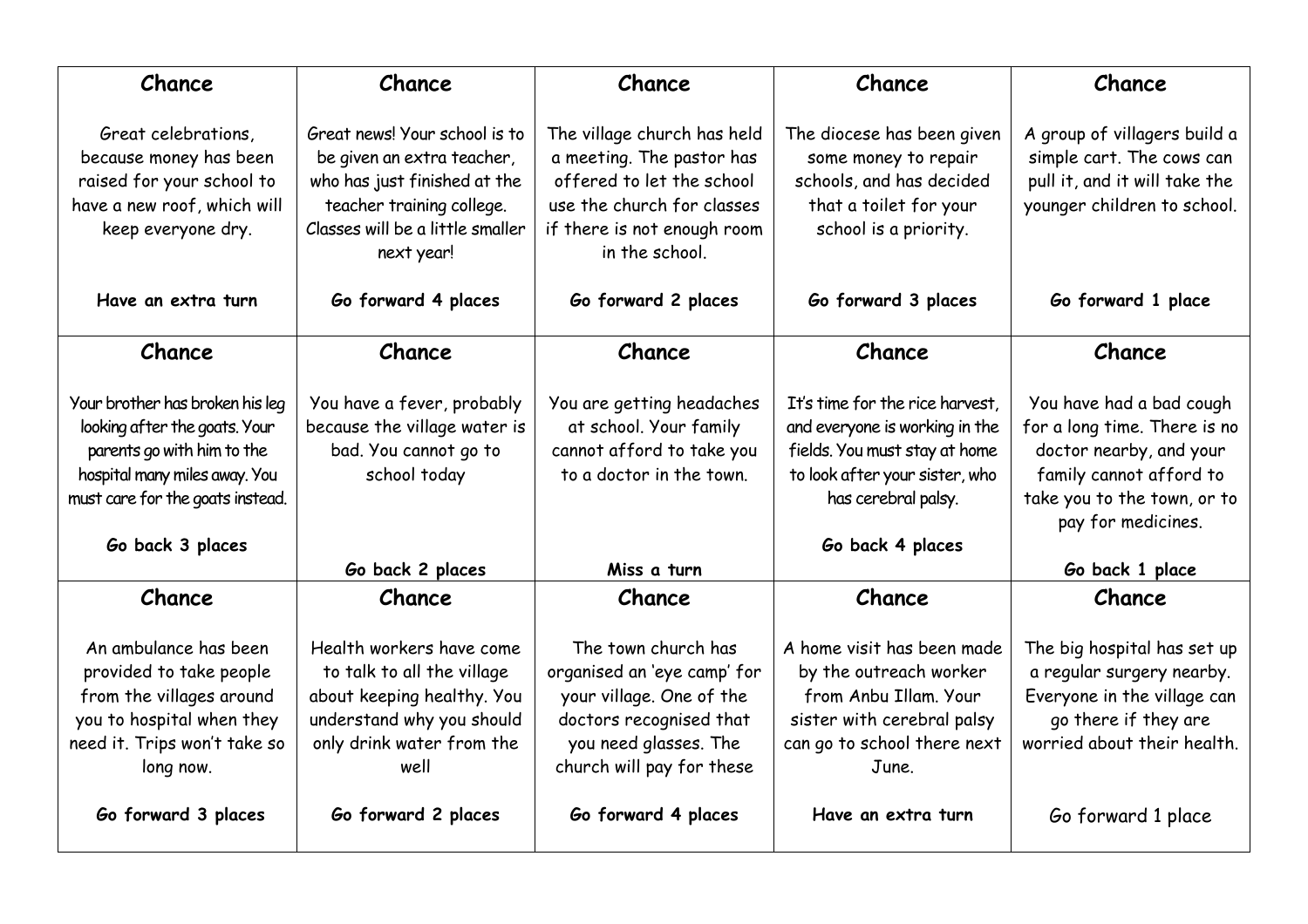| Chance<br>Chance                                                                                                                                                                        |                                                                                                                                                                            | Chance                                                                                                                                                               | Chance                                                                                                                                                                          | Chance                                                                                                                                                              |
|-----------------------------------------------------------------------------------------------------------------------------------------------------------------------------------------|----------------------------------------------------------------------------------------------------------------------------------------------------------------------------|----------------------------------------------------------------------------------------------------------------------------------------------------------------------|---------------------------------------------------------------------------------------------------------------------------------------------------------------------------------|---------------------------------------------------------------------------------------------------------------------------------------------------------------------|
| Great celebrations,<br>because money has been<br>raised for your school to<br>have a new roof, which will<br>keep everyone dry.                                                         | Great news! Your school is to<br>be given an extra teacher,<br>who has just finished at the<br>teacher training college.<br>Classes will be a little smaller<br>next year! | The village church has held<br>a meeting. The pastor has<br>offered to let the school<br>use the church for classes<br>if there is not enough room<br>in the school. | The diocese has been given<br>some money to repair<br>schools, and has decided<br>that a toilet for your<br>school is a priority.                                               | A group of villagers build a<br>simple cart. The cows can<br>pull it, and it will take the<br>younger children to school.                                           |
| Have an extra turn                                                                                                                                                                      | Go forward 4 places                                                                                                                                                        | Go forward 2 places                                                                                                                                                  | Go forward 3 places                                                                                                                                                             | Go forward 1 place                                                                                                                                                  |
| Chance                                                                                                                                                                                  | Chance                                                                                                                                                                     | Chance                                                                                                                                                               | Chance                                                                                                                                                                          | Chance                                                                                                                                                              |
| Your brother has broken his leg<br>looking after the goats. Your<br>parents go with him to the<br>hospital many miles away. You<br>must care for the goats instead.<br>Go back 3 places | You have a fever, probably<br>because the village water is<br>bad. You cannot go to<br>school today                                                                        | You are getting headaches<br>at school. Your family<br>cannot afford to take you<br>to a doctor in the town.                                                         | It's time for the rice harvest,<br>and everyone is working in the<br>fields. You must stay at home<br>to look after your sister, who<br>has cerebral palsy.<br>Go back 4 places | You have had a bad cough<br>for a long time. There is no<br>doctor nearby, and your<br>family cannot afford to<br>take you to the town, or to<br>pay for medicines. |
|                                                                                                                                                                                         | Go back 2 places                                                                                                                                                           | Miss a turn                                                                                                                                                          |                                                                                                                                                                                 | Go back 1 place                                                                                                                                                     |
| Chance                                                                                                                                                                                  | Chance                                                                                                                                                                     | Chance                                                                                                                                                               | Chance                                                                                                                                                                          | Chance                                                                                                                                                              |
| An ambulance has been<br>provided to take people<br>from the villages around<br>you to hospital when they<br>need it. Trips won't take so<br>long now.                                  | Health workers have come<br>to talk to all the village<br>about keeping healthy. You<br>understand why you should<br>only drink water from the<br>well                     | The town church has<br>organised an 'eye camp' for<br>your village. One of the<br>doctors recognised that<br>you need glasses. The<br>church will pay for these      | A home visit has been made<br>by the outreach worker<br>from Anbu Illam. Your<br>sister with cerebral palsy<br>can go to school there next<br>June.                             | The big hospital has set up<br>a regular surgery nearby.<br>Everyone in the village can<br>go there if they are<br>worried about their health.                      |
| Go forward 3 places                                                                                                                                                                     | Go forward 2 places                                                                                                                                                        | Go forward 4 places                                                                                                                                                  | Have an extra turn                                                                                                                                                              | Go forward 1 place                                                                                                                                                  |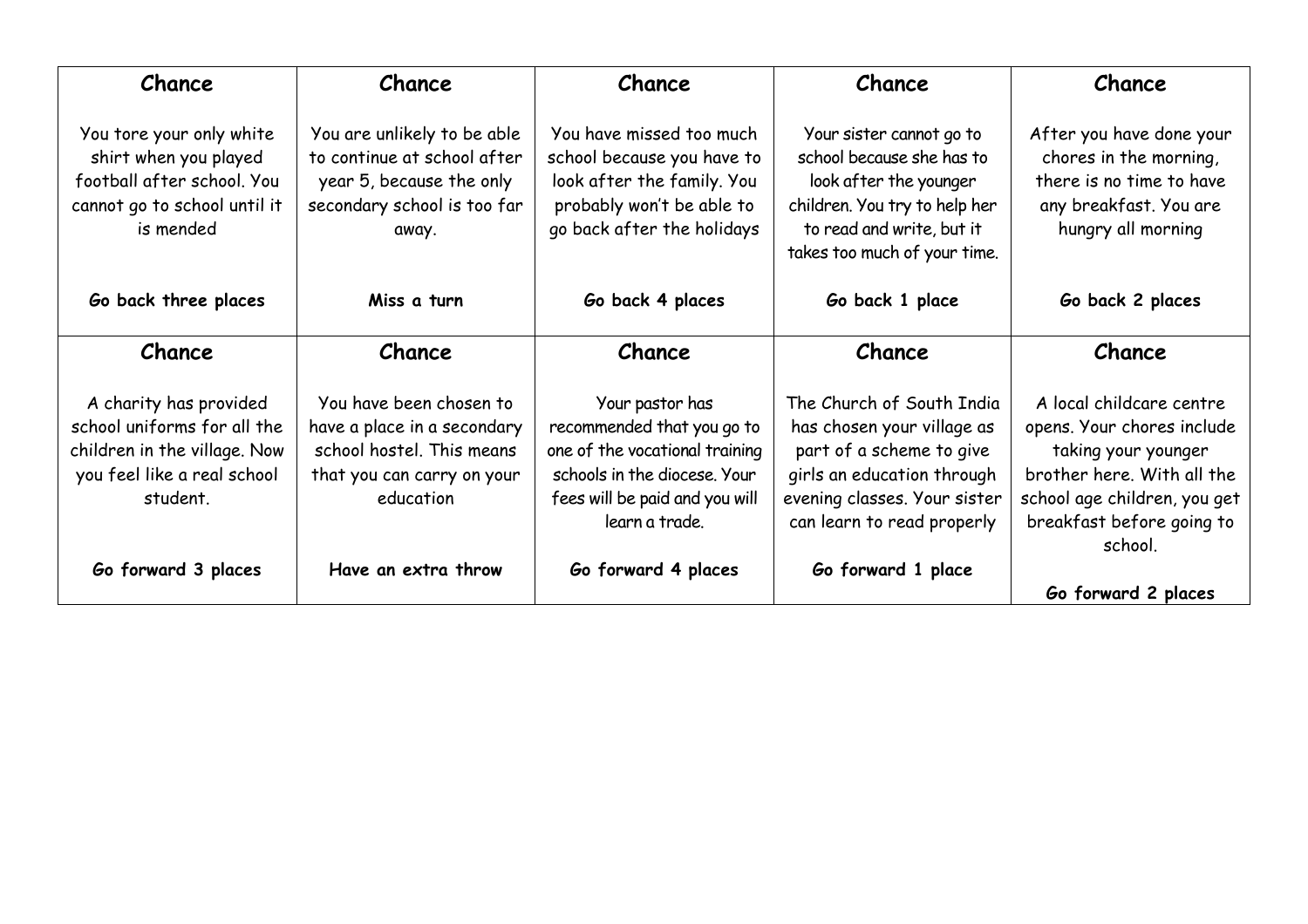| Chance<br>Chance                                                                                                                 |                                                                                                                                | Chance                                                                                                                                                              | Chance                                                                                                                                                                          | Chance                                                                                                                                                                              |
|----------------------------------------------------------------------------------------------------------------------------------|--------------------------------------------------------------------------------------------------------------------------------|---------------------------------------------------------------------------------------------------------------------------------------------------------------------|---------------------------------------------------------------------------------------------------------------------------------------------------------------------------------|-------------------------------------------------------------------------------------------------------------------------------------------------------------------------------------|
| You tore your only white<br>shirt when you played<br>football after school. You<br>cannot go to school until it<br>is mended     | You are unlikely to be able<br>to continue at school after<br>year 5, because the only<br>secondary school is too far<br>away. | You have missed too much<br>school because you have to<br>look after the family. You<br>probably won't be able to<br>go back after the holidays                     | Your sister cannot go to<br>school because she has to<br>look after the younger<br>children. You try to help her<br>to read and write, but it<br>takes too much of your time.   | After you have done your<br>chores in the morning,<br>there is no time to have<br>any breakfast. You are<br>hungry all morning                                                      |
| Go back three places                                                                                                             | Miss a turn                                                                                                                    | Go back 4 places                                                                                                                                                    | Go back 1 place                                                                                                                                                                 | Go back 2 places                                                                                                                                                                    |
| Chance                                                                                                                           | Chance                                                                                                                         | Chance                                                                                                                                                              | Chance                                                                                                                                                                          | Chance                                                                                                                                                                              |
| A charity has provided<br>school uniforms for all the<br>children in the village. Now<br>you feel like a real school<br>student. | You have been chosen to<br>have a place in a secondary<br>school hostel. This means<br>that you can carry on your<br>education | Your pastor has<br>recommended that you go to<br>one of the vocational training<br>schools in the diocese. Your<br>fees will be paid and you will<br>learn a trade. | The Church of South India<br>has chosen your village as<br>part of a scheme to give<br>girls an education through<br>evening classes. Your sister<br>can learn to read properly | A local childcare centre<br>opens. Your chores include<br>taking your younger<br>brother here. With all the<br>school age children, you get<br>breakfast before going to<br>school. |
| Go forward 3 places                                                                                                              | Have an extra throw                                                                                                            | Go forward 4 places                                                                                                                                                 | Go forward 1 place                                                                                                                                                              | Go forward 2 places                                                                                                                                                                 |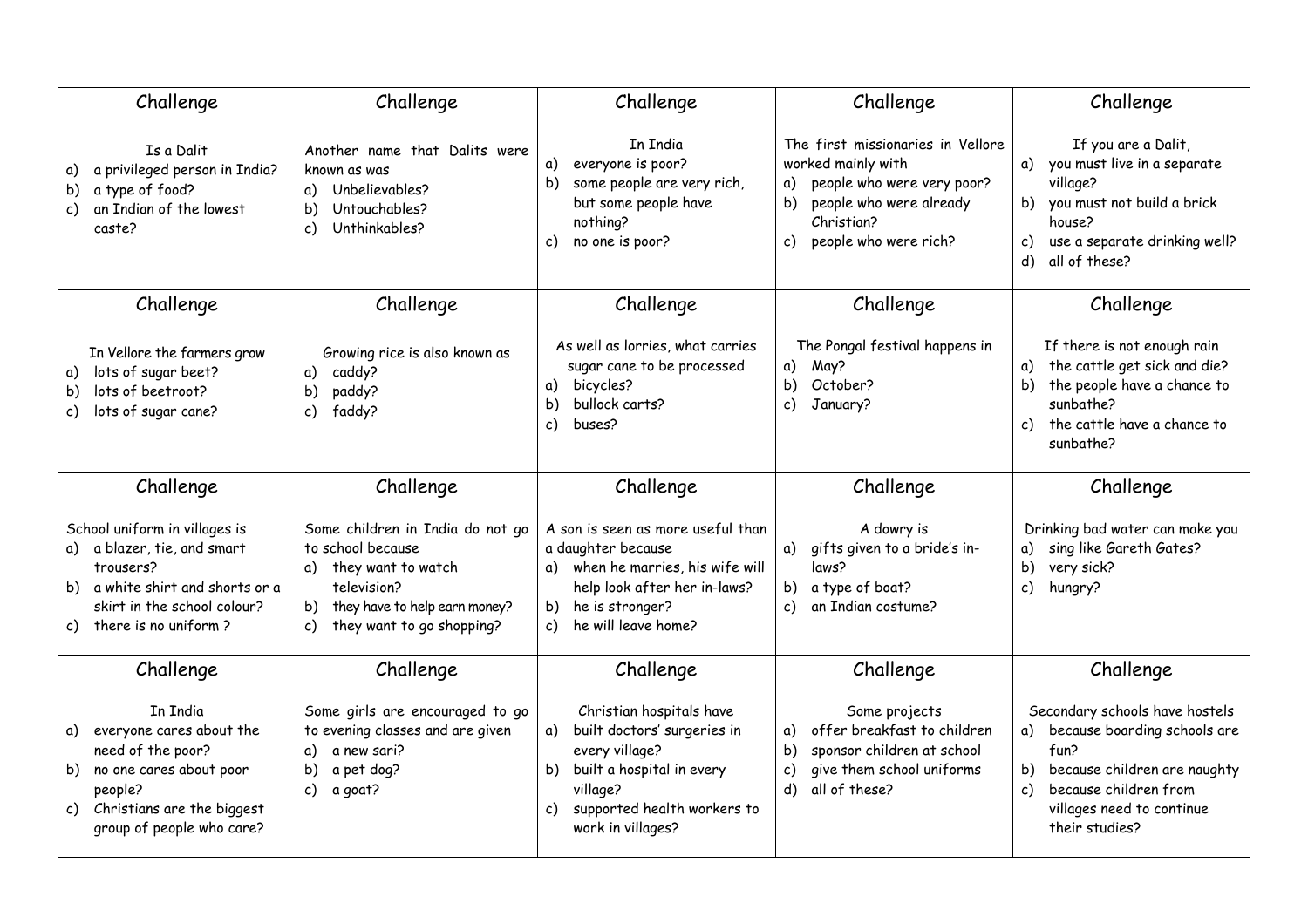| Challenge<br>Challenge                                                                                                                                                                            |                                                                                                                                                                         | Challenge                                                                                                                                                                       | Challenge                                                                                                                                                                 | Challenge                                                                                                                                                                  |
|---------------------------------------------------------------------------------------------------------------------------------------------------------------------------------------------------|-------------------------------------------------------------------------------------------------------------------------------------------------------------------------|---------------------------------------------------------------------------------------------------------------------------------------------------------------------------------|---------------------------------------------------------------------------------------------------------------------------------------------------------------------------|----------------------------------------------------------------------------------------------------------------------------------------------------------------------------|
| Is a Dalit<br>a privileged person in India?<br>α)<br>a type of food?<br>b)<br>an Indian of the lowest<br>C)<br>caste?                                                                             | Another name that Dalits were<br>known as was<br>a) Unbelievables?<br>Untouchables?<br>b)<br>Unthinkables?<br>c)                                                        |                                                                                                                                                                                 | The first missionaries in Vellore<br>worked mainly with<br>people who were very poor?<br>a)<br>people who were already<br>b)<br>Christian?<br>people who were rich?<br>c) | If you are a Dalit,<br>a) you must live in a separate<br>village?<br>b) you must not build a brick<br>house?<br>use a separate drinking well?<br>c)<br>all of these?<br>d) |
| Challenge                                                                                                                                                                                         | Challenge                                                                                                                                                               | Challenge                                                                                                                                                                       | Challenge                                                                                                                                                                 | Challenge                                                                                                                                                                  |
| Growing rice is also known as<br>In Vellore the farmers grow<br>lots of sugar beet?<br>caddy?<br>a)<br>a)<br>lots of beetroot?<br>paddy?<br>b)<br>b)<br>lots of sugar cane?<br>faddy?<br>c)<br>C) |                                                                                                                                                                         | As well as lorries, what carries<br>sugar cane to be processed<br>bicycles?<br>a)<br>bullock carts?<br>b)<br>buses?<br>c)                                                       | The Pongal festival happens in<br>May?<br>a)<br>October?<br>b)<br>c)<br>January?                                                                                          | If there is not enough rain<br>the cattle get sick and die?<br>a)<br>the people have a chance to<br>b).<br>sunbathe?<br>the cattle have a chance to<br>c)<br>sunbathe?     |
| Challenge                                                                                                                                                                                         | Challenge                                                                                                                                                               | Challenge                                                                                                                                                                       | Challenge                                                                                                                                                                 | Challenge                                                                                                                                                                  |
|                                                                                                                                                                                                   |                                                                                                                                                                         |                                                                                                                                                                                 |                                                                                                                                                                           |                                                                                                                                                                            |
| School uniform in villages is<br>a blazer, tie, and smart<br>a) -<br>trousers?<br>a white shirt and shorts or a<br>b).<br>skirt in the school colour?<br>there is no uniform?<br>c)               | Some children in India do not go<br>to school because<br>a) they want to watch<br>television?<br>they have to help earn money?<br>b)<br>they want to go shopping?<br>c) | A son is seen as more useful than<br>a daughter because<br>a) when he marries, his wife will<br>help look after her in-laws?<br>b) he is stronger?<br>he will leave home?<br>c) | A dowry is<br>a) gifts given to a bride's in-<br>laws?<br>b) a type of boat?<br>an Indian costume?<br>c)                                                                  | Drinking bad water can make you<br>sing like Gareth Gates?<br>a)<br>very sick?<br>b)<br>hungry?<br>c)                                                                      |
| Challenge                                                                                                                                                                                         | Challenge                                                                                                                                                               | Challenge                                                                                                                                                                       | Challenge                                                                                                                                                                 | Challenge                                                                                                                                                                  |